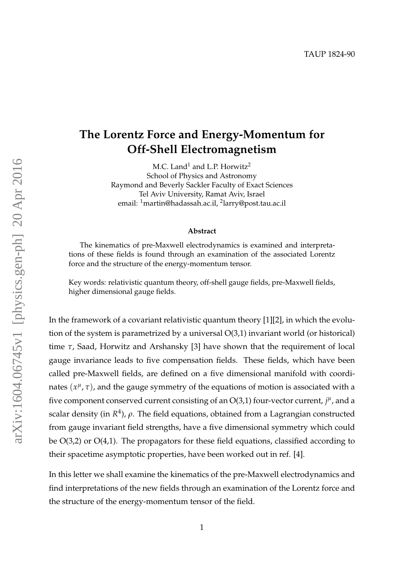## **The Lorentz Force and Energy-Momentum for Off-Shell Electromagnetism**

M.C. Land<sup>1</sup> and L.P. Horwitz<sup>2</sup> School of Physics and Astronomy Raymond and Beverly Sackler Faculty of Exact Sciences Tel Aviv University, Ramat Aviv, Israel email: <sup>1</sup>martin@hadassah.ac.il*,* <sup>2</sup>larry@post.tau.ac.il

## **Abstract**

The kinematics of pre-Maxwell electrodynamics is examined and interpretations of these fields is found through an examination of the associated Lorentz force and the structure of the energy-momentum tensor.

Key words: relativistic quantum theory, off-shell gauge fields, pre-Maxwell fields, higher dimensional gauge fields.

In the framework of a covariant relativistic quantum theory [1][2], in which the evolution of the system is parametrized by a universal O(3,1) invariant world (or historical) time *τ*, Saad, Horwitz and Arshansky [3] have shown that the requirement of local gauge invariance leads to five compensation fields. These fields, which have been called pre-Maxwell fields, are defined on a five dimensional manifold with coordinates  $(x^{\mu}, \tau)$ , and the gauge symmetry of the equations of motion is associated with a five component conserved current consisting of an  $O(3,1)$  four-vector current,  $j^{\mu}$ , and a scalar density (in *R* 4 ), *ρ*. The field equations, obtained from a Lagrangian constructed from gauge invariant field strengths, have a five dimensional symmetry which could be O(3,2) or O(4,1). The propagators for these field equations, classified according to their spacetime asymptotic properties, have been worked out in ref. [4].

In this letter we shall examine the kinematics of the pre-Maxwell electrodynamics and find interpretations of the new fields through an examination of the Lorentz force and the structure of the energy-momentum tensor of the field.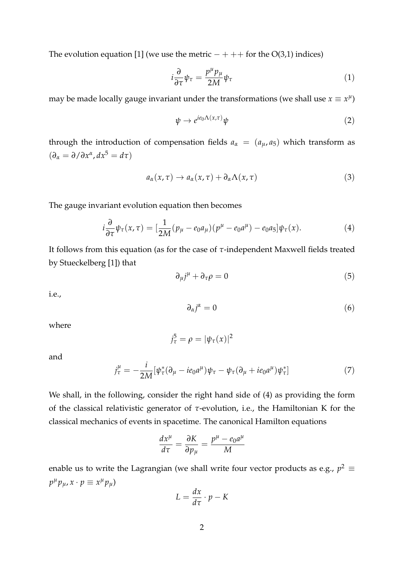The evolution equation [1] (we use the metric  $-+++$  for the O(3,1) indices)

$$
i\frac{\partial}{\partial \tau}\psi_{\tau} = \frac{p^{\mu}p_{\mu}}{2M}\psi_{\tau}
$$
 (1)

may be made locally gauge invariant under the transformations (we shall use  $x \equiv x^{\mu}$ )

$$
\psi \to e^{ie_0 \Lambda(x,\tau)} \psi \tag{2}
$$

through the introduction of compensation fields  $a_{\alpha} = (a_{\mu}, a_5)$  which transform as  $(\partial_{\alpha} = \partial / \partial x^{\alpha}, dx^5 = d\tau)$ 

$$
a_{\alpha}(x,\tau) \to a_{\alpha}(x,\tau) + \partial_{\alpha} \Lambda(x,\tau) \tag{3}
$$

The gauge invariant evolution equation then becomes

$$
i\frac{\partial}{\partial \tau}\psi_{\tau}(x,\tau) = \left[\frac{1}{2M}(p_{\mu} - e_0 a_{\mu})(p^{\mu} - e_0 a^{\mu}) - e_0 a_5\right]\psi_{\tau}(x). \tag{4}
$$

It follows from this equation (as for the case of *τ*-independent Maxwell fields treated by Stueckelberg [1]) that

$$
\partial_{\mu}j^{\mu} + \partial_{\tau}\rho = 0 \tag{5}
$$

i.e.,

$$
\partial_{\alpha}j^{\alpha}=0\tag{6}
$$

where

$$
j_{\tau}^5 = \rho = |\psi_{\tau}(x)|^2
$$

and

$$
j_{\tau}^{\mu} = -\frac{i}{2M} [\psi_{\tau}^* (\partial_{\mu} - ie_0 a^{\mu}) \psi_{\tau} - \psi_{\tau} (\partial_{\mu} + ie_0 a^{\mu}) \psi_{\tau}^*]
$$
(7)

We shall, in the following, consider the right hand side of (4) as providing the form of the classical relativistic generator of *τ*-evolution, i.e., the Hamiltonian K for the classical mechanics of events in spacetime. The canonical Hamilton equations

$$
\frac{dx^{\mu}}{d\tau} = \frac{\partial K}{\partial p_{\mu}} = \frac{p^{\mu} - e_0 a^{\mu}}{M}
$$

enable us to write the Lagrangian (we shall write four vector products as e.g.,  $p^2 \equiv$  $p^{\mu}p_{\mu}$ ,  $x \cdot p \equiv x^{\mu}p_{\mu}$ 

$$
L = \frac{dx}{d\tau} \cdot p - K
$$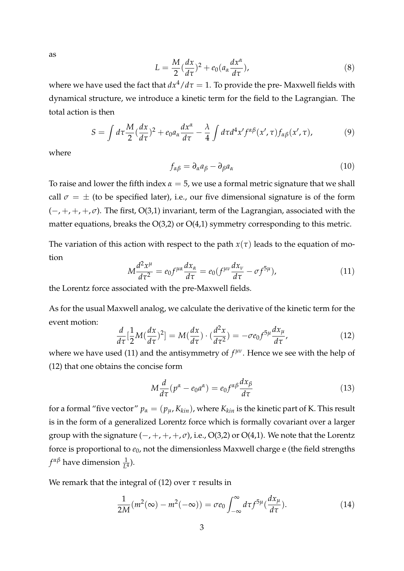as

$$
L = \frac{M}{2} (\frac{dx}{d\tau})^2 + e_0 (a_\alpha \frac{dx^\alpha}{d\tau}),
$$
\n(8)

where we have used the fact that  $dx^4/d\tau = 1$ . To provide the pre-Maxwell fields with dynamical structure, we introduce a kinetic term for the field to the Lagrangian. The total action is then

$$
S = \int d\tau \frac{M}{2} (\frac{dx}{d\tau})^2 + e_0 a_\alpha \frac{dx^\alpha}{d\tau} - \frac{\lambda}{4} \int d\tau d^4 x' f^{\alpha\beta}(x', \tau) f_{\alpha\beta}(x', \tau), \tag{9}
$$

where

$$
f_{\alpha\beta} = \partial_{\alpha}a_{\beta} - \partial_{\beta}a_{\alpha} \tag{10}
$$

To raise and lower the fifth index  $\alpha = 5$ , we use a formal metric signature that we shall call  $\sigma = \pm$  (to be specified later), i.e., our five dimensional signature is of the form (−, +, +, +, *σ*). The first, O(3,1) invariant, term of the Lagrangian, associated with the matter equations, breaks the  $O(3,2)$  or  $O(4,1)$  symmetry corresponding to this metric.

The variation of this action with respect to the path  $x(\tau)$  leads to the equation of motion

$$
M\frac{d^2x^{\mu}}{d\tau^2} = e_0 f^{\mu\alpha} \frac{dx_{\alpha}}{d\tau} = e_0 (f^{\mu\nu} \frac{dx_{\nu}}{d\tau} - \sigma f^{5\mu}), \qquad (11)
$$

the Lorentz force associated with the pre-Maxwell fields.

As for the usual Maxwell analog, we calculate the derivative of the kinetic term for the event motion:

$$
\frac{d}{d\tau}\left[\frac{1}{2}M(\frac{dx}{d\tau})^2\right] = M(\frac{dx}{d\tau})\cdot(\frac{d^2x}{d\tau^2}) = -\sigma e_0 f^{5\mu}\frac{dx_\mu}{d\tau},\tag{12}
$$

where we have used (11) and the antisymmetry of  $f^{\mu\nu}$ . Hence we see with the help of (12) that one obtains the concise form

$$
M\frac{d}{d\tau}(p^{\alpha} - e_0 a^{\alpha}) = e_0 f^{\alpha \beta} \frac{dx_{\beta}}{d\tau}
$$
 (13)

for a formal "five vector"  $p_\alpha = (p_\mu, K_{kin})$ , where  $K_{kin}$  is the kinetic part of K. This result is in the form of a generalized Lorentz force which is formally covariant over a larger group with the signature  $(-, +, +, +, \sigma)$ , i.e.,  $O(3,2)$  or  $O(4,1)$ . We note that the Lorentz force is proportional to  $e_0$ , not the dimensionless Maxwell charge e (the field strengths  $f^{\alpha\beta}$  have dimension  $\frac{1}{L^4}$ ).

We remark that the integral of (12) over *τ* results in

$$
\frac{1}{2M}(m^2(\infty) - m^2(-\infty)) = \sigma e_0 \int_{-\infty}^{\infty} d\tau f^{5\mu}(\frac{dx_\mu}{d\tau}).
$$
\n(14)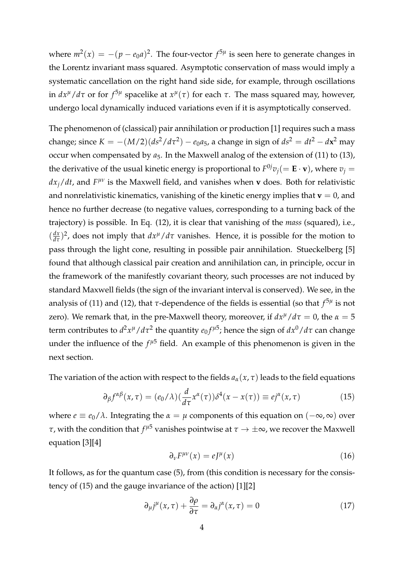where  $m^2(x) = -(p - e_0 a)^2$ . The four-vector  $f^{5\mu}$  is seen here to generate changes in the Lorentz invariant mass squared. Asymptotic conservation of mass would imply a systematic cancellation on the right hand side side, for example, through oscillations in  $dx^{\mu}/d\tau$  or for  $f^{5\mu}$  spacelike at  $x^{\mu}(\tau)$  for each  $\tau$ . The mass squared may, however, undergo local dynamically induced variations even if it is asymptotically conserved.

The phenomenon of (classical) pair annihilation or production [1] requires such a mass change; since  $K = -(M/2)(ds^2/d\tau^2) - e_0a_5$ , a change in sign of  $ds^2 = dt^2 - d\mathbf{x}^2$  may occur when compensated by  $a_5$ . In the Maxwell analog of the extension of (11) to (13), the derivative of the usual kinetic energy is proportional to  $F^{0j}v_j (= \mathbf{E} \cdot \mathbf{v})$ , where  $v_j =$ *dx<sub>j</sub>/dt,* and *F<sup>μν</sup>* is the Maxwell field, and vanishes when **v** does. Both for relativistic and nonrelativistic kinematics, vanishing of the kinetic energy implies that  $\mathbf{v} = 0$ , and hence no further decrease (to negative values, corresponding to a turning back of the trajectory) is possible. In Eq. (12), it is clear that vanishing of the *mass* (squared), i.e.,  $\frac{dx}{d\tau}$  $\frac{dx}{d\tau}$ )<sup>2</sup>, does not imply that  $dx^{\mu}/d\tau$  vanishes. Hence, it is possible for the motion to pass through the light cone, resulting in possible pair annihilation. Stueckelberg [5] found that although classical pair creation and annihilation can, in principle, occur in the framework of the manifestly covariant theory, such processes are not induced by standard Maxwell fields (the sign of the invariant interval is conserved). We see, in the analysis of (11) and (12), that *τ*-dependence of the fields is essential (so that *f* 5*µ* is not zero). We remark that, in the pre-Maxwell theory, moreover, if  $dx^{\mu}/d\tau = 0$ , the  $\alpha = 5$ term contributes to  $d^2x^{\mu}/d\tau^2$  the quantity  $e_0 f^{\mu 5}$ ; hence the sign of  $dx^0/d\tau$  can change under the influence of the  $f^{\mu 5}$  field. An example of this phenomenon is given in the next section.

The variation of the action with respect to the fields  $a_\alpha(x, \tau)$  leads to the field equations

$$
\partial_{\beta} f^{\alpha\beta}(x,\tau) = (e_0/\lambda) (\frac{d}{d\tau} x^{\alpha}(\tau)) \delta^4(x - x(\tau)) \equiv ej^{\alpha}(x,\tau) \tag{15}
$$

where  $e \equiv e_0/\lambda$ . Integrating the  $\alpha = \mu$  components of this equation on  $(-\infty, \infty)$  over *τ,* with the condition that  $f^{\mu 5}$  vanishes pointwise at  $\tau \to \pm \infty$ , we recover the Maxwell equation [3][4]

$$
\partial_{\nu}F^{\mu\nu}(x) = eJ^{\mu}(x) \tag{16}
$$

It follows, as for the quantum case (5), from (this condition is necessary for the consistency of (15) and the gauge invariance of the action) [1][2]

$$
\partial_{\mu}j^{\mu}(x,\tau) + \frac{\partial \rho}{\partial \tau} = \partial_{\alpha}j^{\alpha}(x,\tau) = 0 \tag{17}
$$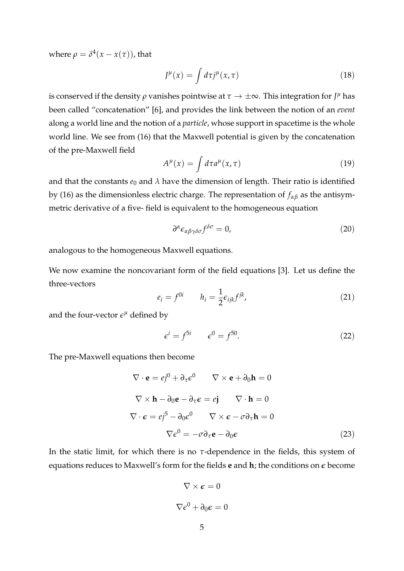where  $\rho = \delta^4(x - x(\tau))$ , that

$$
J^{\mu}(x) = \int d\tau j^{\mu}(x,\tau) \tag{18}
$$

is conserved if the density  $\rho$  vanishes pointwise at  $\tau\to\pm\infty.$  This integration for  $J^\mu$  has been called "concatenation" [6], and provides the link between the notion of an *event* along a world line and the notion of a *particle*, whose support in spacetime is the whole world line. We see from (16) that the Maxwell potential is given by the concatenation of the pre-Maxwell field

$$
A^{\mu}(x) = \int d\tau a^{\mu}(x,\tau) \tag{19}
$$

and that the constants  $e_0$  and  $\lambda$  have the dimension of length. Their ratio is identified by (16) as the dimensionless electric charge. The representation of *fαβ* as the antisymmetric derivative of a five- field is equivalent to the homogeneous equation

$$
\partial^{\alpha} \epsilon_{\alpha\beta\gamma\delta\sigma} f^{\delta\sigma} = 0, \tag{20}
$$

analogous to the homogeneous Maxwell equations.

We now examine the noncovariant form of the field equations [3]. Let us define the three-vectors

$$
e_i = f^{0i} \qquad h_i = \frac{1}{2} \epsilon_{ijk} f^{jk}, \tag{21}
$$

and the four-vector  $\epsilon^{\mu}$  defined by

$$
\epsilon^i = f^{5i} \qquad \epsilon^0 = f^{50}.\tag{22}
$$

The pre-Maxwell equations then become

$$
\nabla \cdot \mathbf{e} = ej^0 + \partial_\tau \epsilon^0 \qquad \nabla \times \mathbf{e} + \partial_0 \mathbf{h} = 0
$$
  

$$
\nabla \times \mathbf{h} - \partial_0 \mathbf{e} - \partial_\tau \epsilon = ej \qquad \nabla \cdot \mathbf{h} = 0
$$
  

$$
\nabla \cdot \epsilon = ej^5 - \partial_0 \epsilon^0 \qquad \nabla \times \epsilon - \sigma \partial_\tau \mathbf{h} = 0
$$
  

$$
\nabla \epsilon^0 = -\sigma \partial_\tau \mathbf{e} - \partial_0 \epsilon
$$
 (23)

In the static limit, for which there is no *τ*-dependence in the fields, this system of equations reduces to Maxwell's form for the fields **e** and **h**; the conditions on *e* become

$$
\nabla \times \boldsymbol{\epsilon} = 0
$$

$$
\nabla \epsilon^0 + \partial_0 \boldsymbol{\epsilon} = 0
$$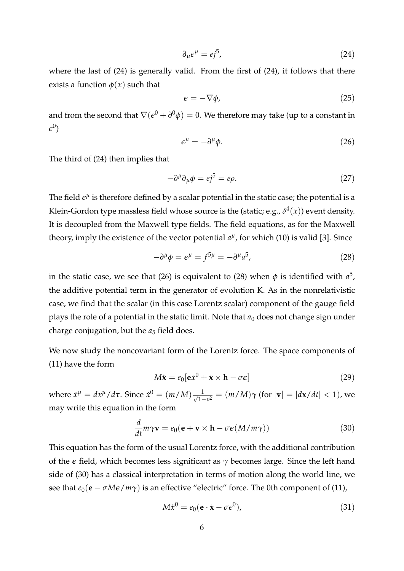$$
\partial_{\mu} \epsilon^{\mu} = e j^{5}, \tag{24}
$$

where the last of (24) is generally valid. From the first of (24), it follows that there exists a function  $\phi(x)$  such that

$$
\epsilon = -\nabla \phi,\tag{25}
$$

and from the second that  $\nabla(\epsilon^0+\partial^0\phi)=0.$  We therefore may take (up to a constant in  $\epsilon^0)$ 

$$
\epsilon^{\mu} = -\partial^{\mu}\phi. \tag{26}
$$

The third of (24) then implies that

$$
-\partial^{\mu}\partial_{\mu}\phi = ej^{5} = e\rho.
$$
 (27)

The field  $\epsilon^{\mu}$  is therefore defined by a scalar potential in the static case; the potential is a Klein-Gordon type massless field whose source is the (static; e.g.,  $\delta^4(x)$ ) event density. It is decoupled from the Maxwell type fields. The field equations, as for the Maxwell theory, imply the existence of the vector potential  $a^{\mu}$ , for which (10) is valid [3]. Since

$$
-\partial^{\mu}\phi = \epsilon^{\mu} = f^{5\mu} = -\partial^{\mu}a^{5},\qquad(28)
$$

in the static case, we see that (26) is equivalent to (28) when  $\phi$  is identified with  $a^5$ , the additive potential term in the generator of evolution K. As in the nonrelativistic case, we find that the scalar (in this case Lorentz scalar) component of the gauge field plays the role of a potential in the static limit. Note that  $a_0$  does not change sign under charge conjugation, but the  $a_5$  field does.

We now study the noncovariant form of the Lorentz force. The space components of (11) have the form

$$
M\ddot{\mathbf{x}} = e_0[\mathbf{e}\dot{x}^0 + \dot{\mathbf{x}} \times \mathbf{h} - \sigma \boldsymbol{\epsilon}] \tag{29}
$$

*where*  $\dot{x}^{\mu} = dx^{\mu}/d\tau$ . Since  $\dot{x}^{0} = (m/M) \frac{1}{\sqrt{1-\tau}}$  $\frac{1}{1-v^2} = (m/M)\gamma$  (for  $|\mathbf{v}| = |d\mathbf{x}/dt| < 1$ ), we may write this equation in the form

$$
\frac{d}{dt}m\gamma \mathbf{v} = e_0(\mathbf{e} + \mathbf{v} \times \mathbf{h} - \sigma \boldsymbol{\epsilon}(M/m\gamma))
$$
(30)

This equation has the form of the usual Lorentz force, with the additional contribution of the *e* field, which becomes less significant as *γ* becomes large. Since the left hand side of (30) has a classical interpretation in terms of motion along the world line, we see that  $e_0(\mathbf{e} - \sigma M \epsilon / m \gamma)$  is an effective "electric" force. The 0th component of (11),

$$
M\ddot{x}^0 = e_0(\mathbf{e} \cdot \dot{\mathbf{x}} - \sigma \epsilon^0),\tag{31}
$$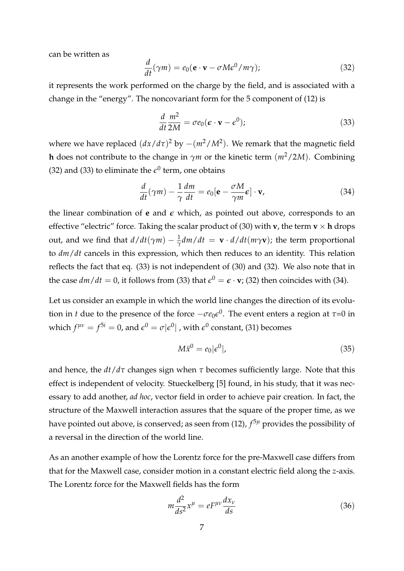can be written as

$$
\frac{d}{dt}(\gamma m) = e_0(\mathbf{e} \cdot \mathbf{v} - \sigma M \epsilon^0 / m \gamma); \tag{32}
$$

it represents the work performed on the charge by the field, and is associated with a change in the "energy". The noncovariant form for the 5 component of (12) is

$$
\frac{d}{dt}\frac{m^2}{2M} = \sigma e_0 (\boldsymbol{\epsilon} \cdot \mathbf{v} - \boldsymbol{\epsilon}^0);
$$
\n(33)

where we have replaced  $(dx/d\tau)^2$  by  $-(m^2/M^2)$ . We remark that the magnetic field **h** does not contribute to the change in  $\gamma$ *m* or the kinetic term ( $m^2/2M$ ). Combining (32) and (33) to eliminate the  $\epsilon^0$  term, one obtains

$$
\frac{d}{dt}(\gamma m) - \frac{1}{\gamma} \frac{dm}{dt} = e_0[\mathbf{e} - \frac{\sigma M}{\gamma m} \mathbf{e}] \cdot \mathbf{v},\tag{34}
$$

the linear combination of  $e$  and  $\epsilon$  which, as pointed out above, corresponds to an effective "electric" force. Taking the scalar product of (30) with **v**, the term **v**  $\times$  **h** drops out, and we find that  $d/dt(\gamma m) - \frac{1}{\gamma} dm/dt = \mathbf{v} \cdot d/dt(m\gamma \mathbf{v})$ ; the term proportional to *dm*/*dt* cancels in this expression, which then reduces to an identity. This relation reflects the fact that eq. (33) is not independent of (30) and (32). We also note that in the case  $dm/dt = 0$ , it follows from (33) that  $\epsilon^0 = \epsilon \cdot \mathbf{v}$ ; (32) then coincides with (34).

Let us consider an example in which the world line changes the direction of its evolution in *t* due to the presence of the force  $-\sigma e_0 \epsilon^0$ . The event enters a region at  $\tau$ =0 in which  $f^{\mu\nu} = f^{5i} = 0$ , and  $\epsilon^0 = \sigma |\epsilon^0|$  , with  $\epsilon^0$  constant, (31) becomes

$$
M\ddot{x}^0 = e_0|\epsilon^0|,\tag{35}
$$

and hence, the  $dt/d\tau$  changes sign when  $\tau$  becomes sufficiently large. Note that this effect is independent of velocity. Stueckelberg [5] found, in his study, that it was necessary to add another, *ad hoc*, vector field in order to achieve pair creation. In fact, the structure of the Maxwell interaction assures that the square of the proper time, as we have pointed out above, is conserved; as seen from (12), *f* <sup>5</sup>*<sup>µ</sup>* provides the possibility of a reversal in the direction of the world line.

As an another example of how the Lorentz force for the pre-Maxwell case differs from that for the Maxwell case, consider motion in a constant electric field along the *z*-axis. The Lorentz force for the Maxwell fields has the form

$$
m\frac{d^2}{ds^2}x^\mu = eF^{\mu\nu}\frac{dx_\nu}{ds}
$$
\n(36)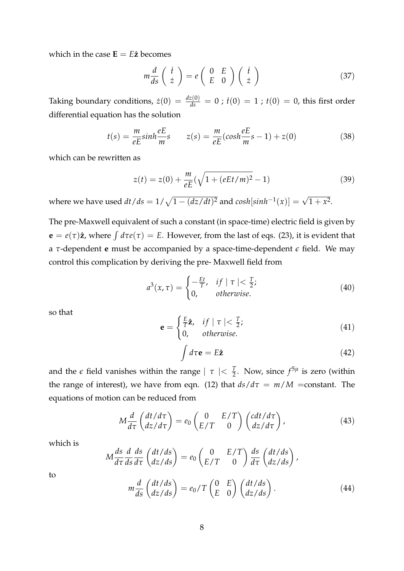which in the case  $\mathbf{E} = E\hat{\mathbf{z}}$  becomes

$$
m\frac{d}{ds}\begin{pmatrix} \dot{t} \\ \dot{z} \end{pmatrix} = e\begin{pmatrix} 0 & E \\ E & 0 \end{pmatrix} \begin{pmatrix} \dot{t} \\ \dot{z} \end{pmatrix}
$$
 (37)

Taking boundary conditions,  $\dot{z}(0) = \frac{dz(0)}{ds} = 0$  ;  $\dot{t}(0) = 1$  ;  $t(0) = 0$ , this first order differential equation has the solution

$$
t(s) = \frac{m}{eE} \sinh \frac{eE}{m} s \qquad z(s) = \frac{m}{eE} (\cosh \frac{eE}{m} s - 1) + z(0) \tag{38}
$$

which can be rewritten as

$$
z(t) = z(0) + \frac{m}{eE}(\sqrt{1 + (eEt/m)^2} - 1)
$$
\n(39)

where we have used  $dt/ds = 1/\sqrt{1 - (dz/dt)^2}$  and  $cosh[sinh^{-1}(x)] = \sqrt{1 + x^2}$ .

The pre-Maxwell equivalent of such a constant (in space-time) electric field is given by  $\mathbf{e} = e(\tau)\hat{\mathbf{z}}$ , where  $\int d\tau e(\tau) = E$ . However, from the last of eqs. (23), it is evident that a *τ*-dependent **e** must be accompanied by a space-time-dependent *e* field. We may control this complication by deriving the pre- Maxwell field from

$$
a^{3}(x,\tau) = \begin{cases} -\frac{Et}{T}, & if \mid \tau \mid < \frac{T}{2}; \\ 0, & otherwise. \end{cases}
$$
 (40)

so that

$$
\mathbf{e} = \begin{cases} \frac{E}{T}\hat{\mathbf{z}}, & \text{if } |\tau| < \frac{T}{2}; \\ 0, & \text{otherwise.} \end{cases} \tag{41}
$$

$$
\int d\tau \mathbf{e} = E\hat{\mathbf{z}} \tag{42}
$$

and the  $\epsilon$  field vanishes within the range  $|\tau| < \frac{T}{2}$ . Now, since  $f^{5\mu}$  is zero (within the range of interest), we have from eqn. (12) that  $ds/d\tau = m/M$  =constant. The equations of motion can be reduced from

$$
M\frac{d}{d\tau}\begin{pmatrix}dt/d\tau\\dz/d\tau\end{pmatrix} = e_0 \begin{pmatrix}0 & E/T\\E/T & 0\end{pmatrix} \begin{pmatrix}cdt/d\tau\\dz/d\tau\end{pmatrix},
$$
(43)

which is

$$
M\frac{ds}{d\tau}\frac{d}{ds}\frac{ds}{d\tau}\begin{pmatrix}dt/ds\\dz/ds\end{pmatrix} = e_0 \begin{pmatrix} 0 & E/T\\E/T & 0 \end{pmatrix} \frac{ds}{d\tau}\begin{pmatrix}dt/ds\\dz/ds\end{pmatrix},
$$

to

$$
m\frac{d}{ds}\begin{pmatrix}dt/ds\\dz/ds\end{pmatrix} = e_0/T\begin{pmatrix}0 & E\\E & 0\end{pmatrix}\begin{pmatrix}dt/ds\\dz/ds\end{pmatrix}.
$$
 (44)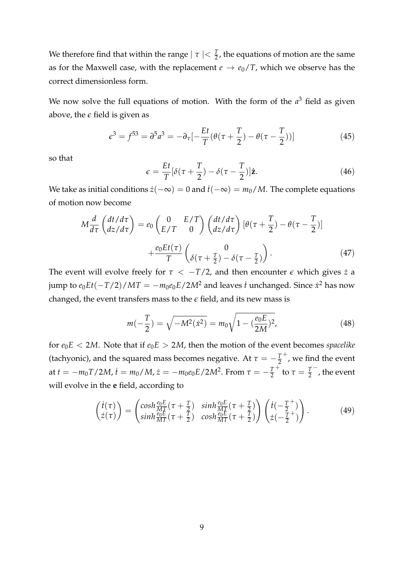We therefore find that within the range  $|\tau| < \frac{T}{2}$ , the equations of motion are the same as for the Maxwell case, with the replacement  $e \rightarrow e_0/T$ , which we observe has the correct dimensionless form.

We now solve the full equations of motion. With the form of the  $a<sup>3</sup>$  field as given above, the  $\epsilon$  field is given as

$$
\epsilon^3 = f^{53} = \partial^5 a^3 = -\partial_\tau \left[ -\frac{Et}{T} (\theta(\tau + \frac{T}{2}) - \theta(\tau - \frac{T}{2})) \right]
$$
(45)

so that

$$
\epsilon = \frac{Et}{T}[\delta(\tau + \frac{T}{2}) - \delta(\tau - \frac{T}{2})]\hat{\mathbf{z}}.
$$
\n(46)

We take as initial conditions  $\dot{z}(-\infty) = 0$  and  $\dot{t}(-\infty) = m_0/M$ . The complete equations of motion now become

$$
M\frac{d}{d\tau}\begin{pmatrix}dt/d\tau\\dz/d\tau\end{pmatrix} = e_0 \begin{pmatrix} 0 & E/T\\E/T & 0 \end{pmatrix} \begin{pmatrix}dt/d\tau\\dz/d\tau\end{pmatrix} \left[\theta(\tau + \frac{T}{2}) - \theta(\tau - \frac{T}{2})\right] + \frac{e_0Et(\tau)}{T} \begin{pmatrix} 0\\ \delta(\tau + \frac{T}{2}) - \delta(\tau - \frac{T}{2}) \end{pmatrix}.
$$
 (47)

The event will evolve freely for  $\tau < -T/2$ , and then encounter  $\epsilon$  which gives  $\dot{z}$  a jump to  $e_0Et(-T/2)/MT=-m_0e_0E/2M^2$  and leaves  $\dot{t}$  unchanged. Since  $\dot{x}^2$  has now changed, the event transfers mass to the *e* field, and its new mass is

$$
m(-\frac{T}{2}) = \sqrt{-M^2(\dot{x}^2)} = m_0 \sqrt{1 - (\frac{e_0 E}{2M})^2},
$$
\n(48)

for  $e_0E < 2M$ . Note that if  $e_0E > 2M$ , then the motion of the event becomes *spacelike* (tachyonic), and the squared mass becomes negative. At  $\tau = -\frac{T}{2}$  $<sup>+</sup>$ , we find the event</sup> at  $t = -m_0 T/2M$ ,  $\dot{t} = m_0/M$ ,  $\dot{z} = -m_0 e_0 E/2M^2$ . From  $\tau = -\frac{T}{2}$ <sup>+</sup> to  $\tau = \frac{7}{2}$ − , the event will evolve in the **e** field, according to

$$
\begin{pmatrix}\n\dot{t}(\tau) \\
\dot{z}(\tau)\n\end{pmatrix} = \begin{pmatrix}\n\cosh\frac{\theta_0 E}{MT}(\tau + \frac{T}{2}) & \sinh\frac{\theta_0 E}{MT}(\tau + \frac{T}{2}) \\
\sinh\frac{\theta_0 E}{MT}(\tau + \frac{T}{2}) & \cosh\frac{\theta_0 E}{MT}(\tau + \frac{T}{2})\n\end{pmatrix} \begin{pmatrix}\n\dot{t}(-\frac{T}{2}^+) \\
\dot{z}(-\frac{T}{2}^+)\n\end{pmatrix}.
$$
\n(49)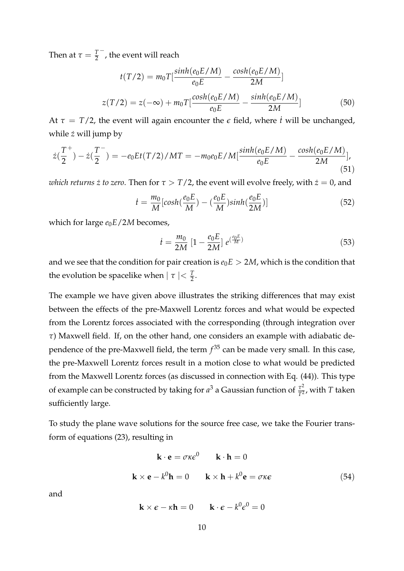Then at  $\tau = \frac{T}{2}$ − , the event will reach

$$
t(T/2) = m_0 T \left[ \frac{\sinh(e_0 E/M)}{e_0 E} - \frac{\cosh(e_0 E/M)}{2M} \right]
$$
  

$$
z(T/2) = z(-\infty) + m_0 T \left[ \frac{\cosh(e_0 E/M)}{e_0 E} - \frac{\sinh(e_0 E/M)}{2M} \right]
$$
(50)

At  $\tau = T/2$ , the event will again encounter the  $\epsilon$  field, where *i* will be unchanged, while  $\dot{z}$  will jump by

$$
\dot{z}(\frac{T^{+}}{2}) - \dot{z}(\frac{T^{-}}{2}) = -e_0 E t(T/2) / MT = -m_0 e_0 E / M [\frac{\sinh(e_0 E/M)}{e_0 E} - \frac{\cosh(e_0 E/M)}{2M}], \tag{51}
$$

*which returns*  $\dot{z}$  to zero. Then for  $\tau > T/2$ , the event will evolve freely, with  $\dot{z} = 0$ , and

$$
\dot{t} = \frac{m_0}{M} \left[ \cosh(\frac{e_0 E}{M}) - (\frac{e_0 E}{M}) \sinh(\frac{e_0 E}{2M}) \right] \tag{52}
$$

which for large  $e_0E/2M$  becomes,

$$
\dot{t} = \frac{m_0}{2M} \left[ 1 - \frac{e_0 E}{2M} \right] e^{\left(\frac{e_0 E}{M}\right)} \tag{53}
$$

and we see that the condition for pair creation is  $e_0E > 2M$ , which is the condition that the evolution be spacelike when  $|\tau| < \frac{T}{2}$ .

The example we have given above illustrates the striking differences that may exist between the effects of the pre-Maxwell Lorentz forces and what would be expected from the Lorentz forces associated with the corresponding (through integration over *τ*) Maxwell field. If, on the other hand, one considers an example with adiabatic dependence of the pre-Maxwell field, the term *f* <sup>35</sup> can be made very small. In this case, the pre-Maxwell Lorentz forces result in a motion close to what would be predicted from the Maxwell Lorentz forces (as discussed in connection with Eq. (44)). This type of example can be constructed by taking for  $a^3$  a Gaussian function of  $\frac{\tau^2}{T^2}$  $\frac{\tau^2}{T^2}$ , with *T* taken sufficiently large.

To study the plane wave solutions for the source free case, we take the Fourier transform of equations (23), resulting in

$$
\mathbf{k} \cdot \mathbf{e} = \sigma \kappa \epsilon^0 \qquad \mathbf{k} \cdot \mathbf{h} = 0
$$
  

$$
\mathbf{k} \times \mathbf{e} - k^0 \mathbf{h} = 0 \qquad \mathbf{k} \times \mathbf{h} + k^0 \mathbf{e} = \sigma \kappa \epsilon
$$
 (54)

and

$$
\mathbf{k} \times \boldsymbol{\epsilon} - \kappa \mathbf{h} = 0 \qquad \mathbf{k} \cdot \boldsymbol{\epsilon} - k^0 \boldsymbol{\epsilon}^0 = 0
$$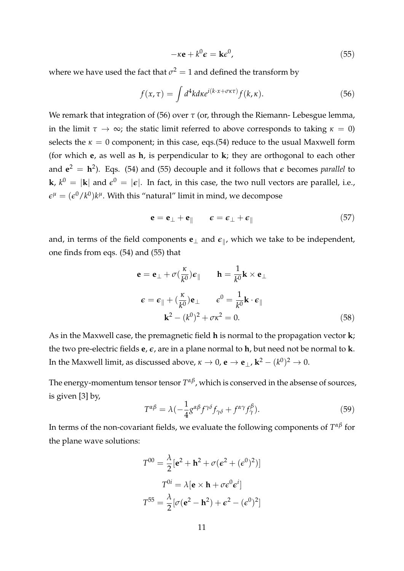$$
-\kappa \mathbf{e} + k^0 \mathbf{\epsilon} = \mathbf{k} \mathbf{\epsilon}^0, \tag{55}
$$

where we have used the fact that  $\sigma^2 = 1$  and defined the transform by

$$
f(x,\tau) = \int d^4k d\kappa e^{i(k\cdot x + \sigma \kappa \tau)} f(k,\kappa).
$$
 (56)

We remark that integration of (56) over *τ* (or, through the Riemann- Lebesgue lemma, in the limit  $\tau \to \infty$ ; the static limit referred to above corresponds to taking  $\kappa = 0$ ) selects the  $\kappa = 0$  component; in this case, eqs.(54) reduce to the usual Maxwell form (for which **e**, as well as **h**, is perpendicular to **k**; they are orthogonal to each other and  $e^2 = h^2$ ). Eqs. (54) and (55) decouple and it follows that  $\epsilon$  becomes *parallel* to  ${\bf k}$ ,  $k^0\,=\,|{\bf k}|$  and  $\epsilon^0\,=\,|\epsilon|.$  In fact, in this case, the two null vectors are parallel, i.e.,  $\epsilon^\mu = (\epsilon^0/k^0) k^\mu.$  With this "natural" limit in mind, we decompose

$$
\mathbf{e} = \mathbf{e}_{\perp} + \mathbf{e}_{\parallel} \qquad \epsilon = \epsilon_{\perp} + \epsilon_{\parallel} \tag{57}
$$

and, in terms of the field components  ${\bf e}_{\perp}$  and  $\boldsymbol{\epsilon}_{\parallel}$ , which we take to be independent, one finds from eqs. (54) and (55) that

$$
\mathbf{e} = \mathbf{e}_{\perp} + \sigma(\frac{\kappa}{k^0})\mathbf{\epsilon}_{\parallel} \qquad \mathbf{h} = \frac{1}{k^0} \mathbf{k} \times \mathbf{e}_{\perp}
$$

$$
\mathbf{\epsilon} = \mathbf{\epsilon}_{\parallel} + (\frac{\kappa}{k^0})\mathbf{e}_{\perp} \qquad \mathbf{\epsilon}^0 = \frac{1}{k^0} \mathbf{k} \cdot \mathbf{\epsilon}_{\parallel}
$$

$$
\mathbf{k}^2 - (k^0)^2 + \sigma \kappa^2 = 0. \tag{58}
$$

As in the Maxwell case, the premagnetic field **h** is normal to the propagation vector **k**; the two pre-electric fields **e**, *e*, are in a plane normal to **h**, but need not be normal to **k**. In the Maxwell limit, as discussed above,  $\kappa \to 0$ ,  $\mathbf{e} \to \mathbf{e}_{\perp}$ ,  $\mathbf{k}^2 - (k^0)^2 \to 0$ .

The energy-momentum tensor tensor *T αβ*, which is conserved in the absense of sources, is given [3] by,

$$
T^{\alpha\beta} = \lambda \left( -\frac{1}{4} g^{\alpha\beta} f^{\gamma\delta} f_{\gamma\delta} + f^{\alpha\gamma} f_{\gamma}^{\beta} \right). \tag{59}
$$

In terms of the non-covariant fields, we evaluate the following components of *T αβ* for the plane wave solutions:

$$
T^{00} = \frac{\lambda}{2} [\mathbf{e}^2 + \mathbf{h}^2 + \sigma (\mathbf{e}^2 + (\mathbf{e}^0)^2)]
$$

$$
T^{0i} = \lambda [\mathbf{e} \times \mathbf{h} + \sigma \mathbf{e}^0 \mathbf{e}^i]
$$

$$
T^{55} = \frac{\lambda}{2} [\sigma (\mathbf{e}^2 - \mathbf{h}^2) + \mathbf{e}^2 - (\mathbf{e}^0)^2]
$$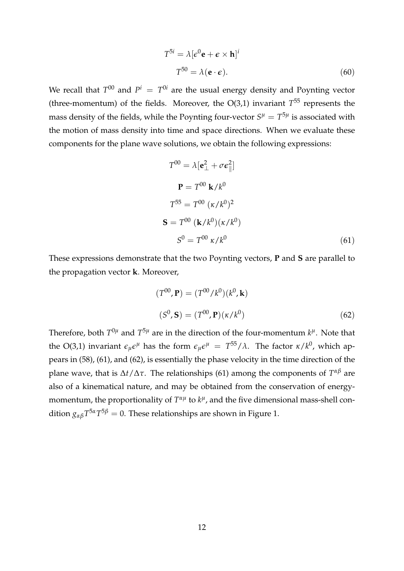$$
T^{5i} = \lambda [\epsilon^0 \mathbf{e} + \mathbf{\epsilon} \times \mathbf{h}]^i
$$
  

$$
T^{50} = \lambda (\mathbf{e} \cdot \mathbf{\epsilon}).
$$
 (60)

We recall that  $T^{00}$  and  $P^i = T^{0i}$  are the usual energy density and Poynting vector (three-momentum) of the fields. Moreover, the  $O(3,1)$  invariant  $T^{55}$  represents the mass density of the fields, while the Poynting four-vector  $S^{\mu} = T^{5\mu}$  is associated with the motion of mass density into time and space directions. When we evaluate these components for the plane wave solutions, we obtain the following expressions:

$$
T^{00} = \lambda [\mathbf{e}_{\perp}^2 + \sigma \mathbf{e}_{\parallel}^2]
$$
  

$$
\mathbf{P} = T^{00} \mathbf{k}/k^0
$$
  

$$
T^{55} = T^{00} (\kappa/k^0)^2
$$
  

$$
\mathbf{S} = T^{00} (\mathbf{k}/k^0) (\kappa/k^0)
$$
  

$$
S^0 = T^{00} \kappa/k^0
$$
 (61)

These expressions demonstrate that the two Poynting vectors, **P** and **S** are parallel to the propagation vector **k**. Moreover,

$$
(T^{00}, \mathbf{P}) = (T^{00}/k^0)(k^0, \mathbf{k})
$$
  

$$
(S^0, \mathbf{S}) = (T^{00}, \mathbf{P})(\kappa/k^0)
$$
 (62)

Therefore, both  $T^{0\mu}$  and  $T^{5\mu}$  are in the direction of the four-momentum  $k^{\mu}$ . Note that the O(3,1) invariant  $\epsilon_{\mu} \epsilon^{\mu}$  has the form  $\epsilon_{\mu} \epsilon^{\mu} = T^{55}/\lambda$ . The factor  $\kappa/k^0$ , which appears in (58), (61), and (62), is essentially the phase velocity in the time direction of the plane wave, that is ∆*t*/∆*τ*. The relationships (61) among the components of *T αβ* are also of a kinematical nature, and may be obtained from the conservation of energymomentum, the proportionality of  $T^{\alpha\mu}$  to  $k^{\mu}$ , and the five dimensional mass-shell condition  $g_{\alpha\beta}T^{5\alpha}T^{5\beta} = 0$ . These relationships are shown in Figure 1.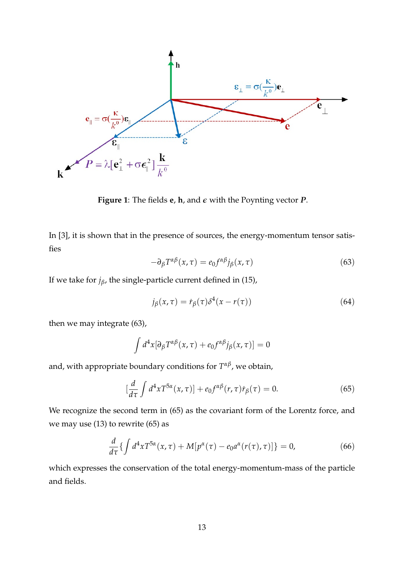

**Figure 1**: The fields **e**, **h**, and *e* with the Poynting vector *P*.

In [3], it is shown that in the presence of sources, the energy-momentum tensor satisfies

$$
-\partial_{\beta}T^{\alpha\beta}(x,\tau) = e_0 f^{\alpha\beta} j_{\beta}(x,\tau) \tag{63}
$$

If we take for  $j_\beta$ , the single-particle current defined in (15),

$$
j_{\beta}(x,\tau) = r_{\beta}(\tau)\delta^4(x - r(\tau))\tag{64}
$$

then we may integrate (63),

$$
\int d^4x [\partial_\beta T^{\alpha\beta}(x,\tau) + e_0 f^{\alpha\beta} j_\beta(x,\tau)] = 0
$$

and, with appropriate boundary conditions for *T αβ*, we obtain,

$$
\left[\frac{d}{d\tau}\int d^4x T^{5\alpha}(x,\tau)\right] + e_0 f^{\alpha\beta}(r,\tau)\dot{r}_\beta(\tau) = 0. \tag{65}
$$

We recognize the second term in (65) as the covariant form of the Lorentz force, and we may use  $(13)$  to rewrite  $(65)$  as

$$
\frac{d}{d\tau}\left\{\int d^4x T^{5\alpha}(x,\tau) + M[p^{\alpha}(\tau) - e_0 a^{\alpha}(r(\tau),\tau)]\right\} = 0,
$$
\n(66)

which expresses the conservation of the total energy-momentum-mass of the particle and fields.